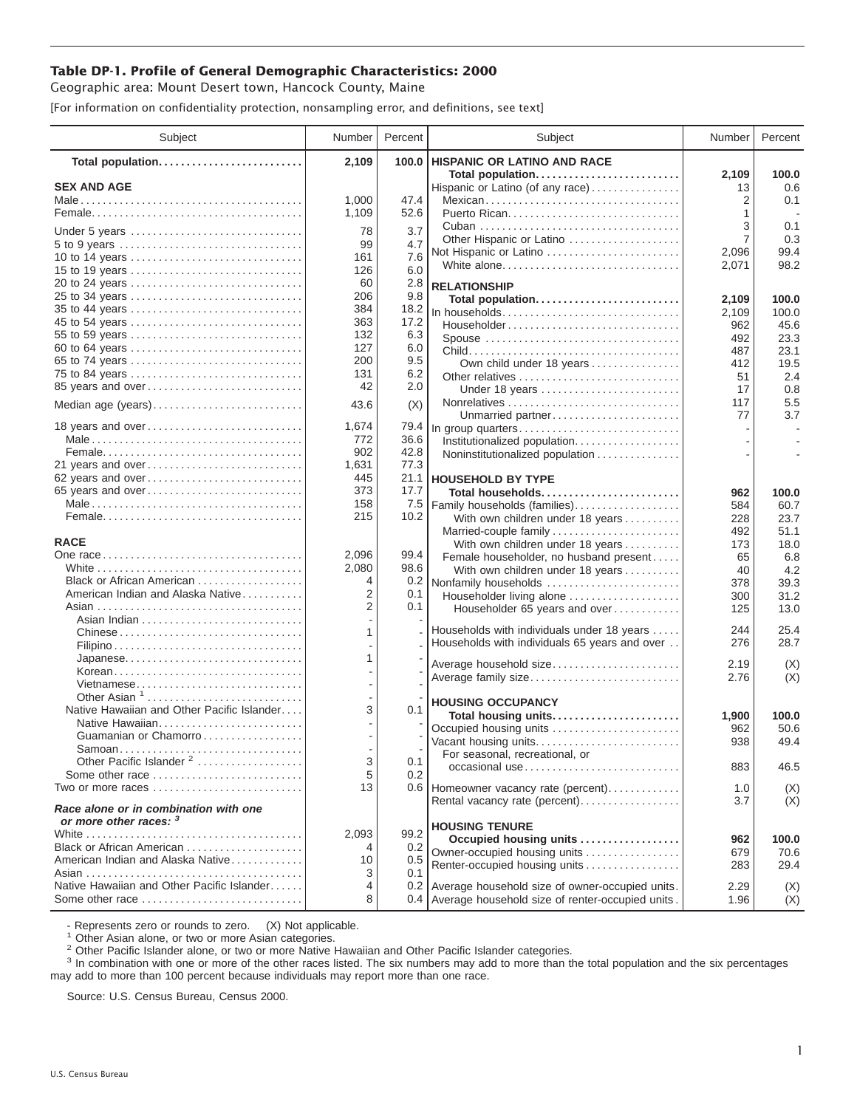## **Table DP-1. Profile of General Demographic Characteristics: 2000**

Geographic area: Mount Desert town, Hancock County, Maine

[For information on confidentiality protection, nonsampling error, and definitions, see text]

| Subject                                                         | Number     | Percent     | Subject                                                   | Number      | Percent      |
|-----------------------------------------------------------------|------------|-------------|-----------------------------------------------------------|-------------|--------------|
| Total population                                                | 2,109      | 100.0       | <b>HISPANIC OR LATINO AND RACE</b>                        |             |              |
| <b>SEX AND AGE</b>                                              |            |             | Total population<br>Hispanic or Latino (of any race)      | 2,109<br>13 | 100.0<br>0.6 |
|                                                                 | 1,000      | 47.4        | Mexican                                                   | 2           | 0.1          |
|                                                                 | 1,109      | 52.6        |                                                           | 1           |              |
|                                                                 | 78         | 3.7         |                                                           | 3           | 0.1          |
| Under 5 years                                                   | 99         | 4.7         | Other Hispanic or Latino                                  | 7           | 0.3          |
| 10 to 14 years                                                  | 161        | 7.6         | Not Hispanic or Latino                                    | 2,096       | 99.4         |
| 15 to 19 years                                                  | 126        | 6.0         | White alone                                               | 2,071       | 98.2         |
| 20 to 24 years                                                  | 60         | 2.8         | <b>RELATIONSHIP</b>                                       |             |              |
| 25 to 34 years                                                  | 206        | 9.8         | Total population                                          | 2,109       | 100.0        |
|                                                                 | 384        | 18.2        | In households                                             | 2,109       | 100.0        |
| 45 to 54 years                                                  | 363        | 17.2        | Householder                                               | 962         | 45.6         |
| 55 to 59 years                                                  | 132        | 6.3         | Spouse                                                    | 492         | 23.3         |
| 60 to 64 years                                                  | 127        | 6.0         |                                                           | 487         | 23.1         |
| 65 to 74 years<br>75 to 84 years                                | 200<br>131 | 9.5<br>6.2  | Own child under 18 years                                  | 412         | 19.5         |
| 85 years and over                                               | 42         | 2.0         | Other relatives                                           | 51          | 2.4          |
|                                                                 |            |             | Under 18 years                                            | 17<br>117   | 0.8<br>5.5   |
| Median age (years)                                              | 43.6       | (X)         | Unmarried partner                                         | 77          | 3.7          |
| 18 years and over                                               | 1,674      | 79.4        | In group quarters                                         |             |              |
|                                                                 | 772        | 36.6        | Institutionalized population                              |             |              |
|                                                                 | 902        | 42.8        | Noninstitutionalized population                           |             |              |
| 21 years and over                                               | 1,631      | 77.3        |                                                           |             |              |
| 62 years and over                                               | 445        | 21.1        | <b>HOUSEHOLD BY TYPE</b>                                  |             |              |
| 65 years and over                                               | 373        | 17.7        | Total households                                          | 962         | 100.0        |
|                                                                 | 158<br>215 | 7.5<br>10.2 | Family households (families)                              | 584         | 60.7         |
|                                                                 |            |             | With own children under 18 years                          | 228<br>492  | 23.7<br>51.1 |
| <b>RACE</b>                                                     |            |             | Married-couple family<br>With own children under 18 years | 173         | 18.0         |
|                                                                 | 2,096      | 99.4        | Female householder, no husband present                    | 65          | 6.8          |
|                                                                 | 2,080      | 98.6        | With own children under 18 years                          | 40          | 4.2          |
| Black or African American                                       | 4          | 0.2         | Nonfamily households                                      | 378         | 39.3         |
| American Indian and Alaska Native                               | 2          | 0.1         | Householder living alone                                  | 300         | 31.2         |
|                                                                 | 2          | 0.1         | Householder 65 years and over                             | 125         | 13.0         |
|                                                                 | 1          |             | Households with individuals under 18 years                | 244         | 25.4         |
| Chinese                                                         |            |             | Households with individuals 65 years and over             | 276         | 28.7         |
| Japanese                                                        | 1          |             |                                                           |             |              |
| Korean                                                          |            |             | Average household size                                    | 2.19        | (X)          |
| Vietnamese                                                      |            |             | Average family size                                       | 2.76        | (X)          |
| Other Asian <sup>1</sup>                                        |            |             | <b>HOUSING OCCUPANCY</b>                                  |             |              |
| Native Hawaiian and Other Pacific Islander                      | 3          | 0.1         | Total housing units                                       | 1,900       | 100.0        |
| Native Hawaiian                                                 |            |             | Occupied housing units                                    | 962         | 50.6         |
| Guamanian or Chamorro                                           |            |             | Vacant housing units                                      | 938         | 49.4         |
| Other Pacific Islander <sup>2</sup>                             | 3          | 0.1         | For seasonal, recreational, or                            |             |              |
| Some other race                                                 | 5          | 0.2         | occasional use                                            | 883         | 46.5         |
| Two or more races                                               | 13         |             | 0.6   Homeowner vacancy rate (percent)                    | 1.0         | (X)          |
|                                                                 |            |             | Rental vacancy rate (percent)                             | 3.7         | (X)          |
| Race alone or in combination with one<br>or more other races: 3 |            |             |                                                           |             |              |
|                                                                 | 2.093      | 99.2        | <b>HOUSING TENURE</b>                                     |             |              |
| Black or African American                                       | 4          | 0.2         | Occupied housing units                                    | 962         | 100.0        |
| American Indian and Alaska Native                               | 10         | 0.5         | Owner-occupied housing units                              | 679         | 70.6         |
|                                                                 | 3          | 0.1         | Renter-occupied housing units                             | 283         | 29.4         |
| Native Hawaiian and Other Pacific Islander                      | 4          |             | 0.2 Average household size of owner-occupied units.       | 2.29        | (X)          |
| Some other race                                                 | 8          |             | 0.4 Average household size of renter-occupied units.      | 1.96        | (X)          |

- Represents zero or rounds to zero. (X) Not applicable.<br><sup>1</sup> Other Asian alone, or two or more Asian categories.

<sup>2</sup> Other Pacific Islander alone, or two or more Native Hawaiian and Other Pacific Islander categories.<br><sup>3</sup> In combination with one or more of the other races listed. The six numbers may add to more than the total populati may add to more than 100 percent because individuals may report more than one race.

Source: U.S. Census Bureau, Census 2000.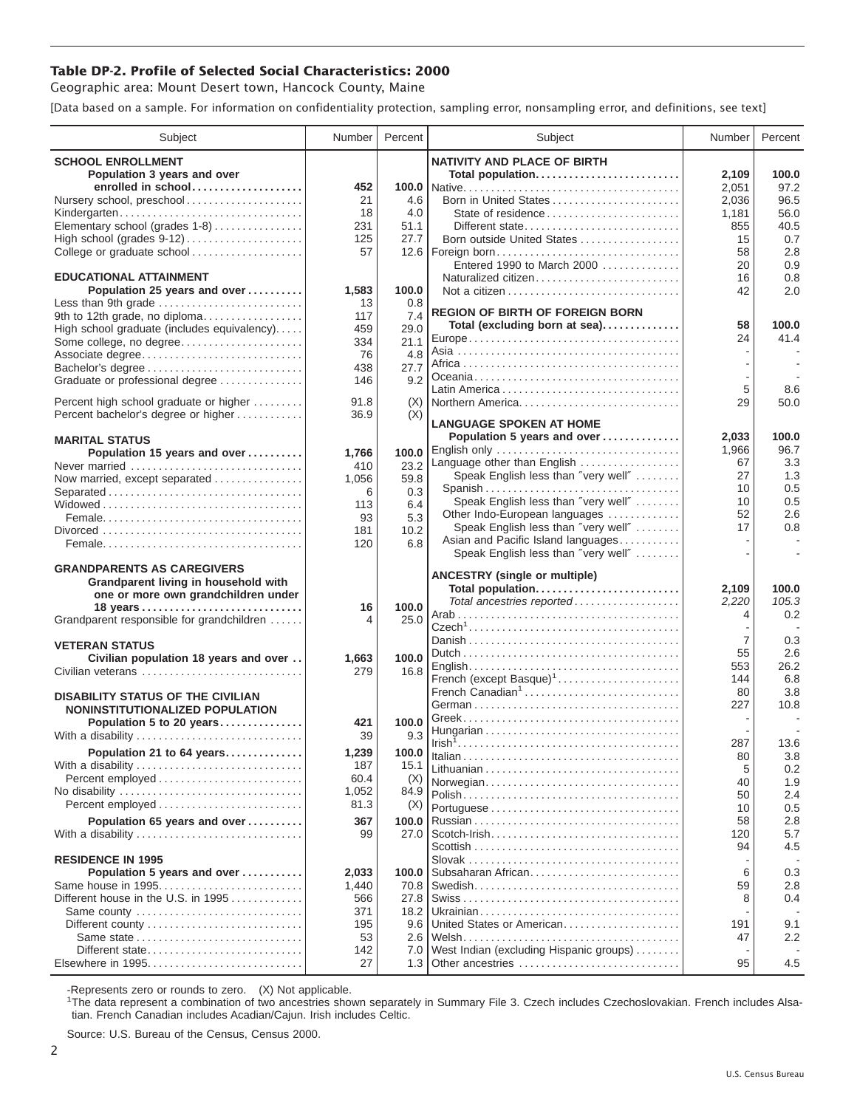## **Table DP-2. Profile of Selected Social Characteristics: 2000**

Geographic area: Mount Desert town, Hancock County, Maine

[Data based on a sample. For information on confidentiality protection, sampling error, nonsampling error, and definitions, see text]

| Subject                                       | Number    | Percent | Subject                                 | Number         | Percent |
|-----------------------------------------------|-----------|---------|-----------------------------------------|----------------|---------|
| <b>SCHOOL ENROLLMENT</b>                      |           |         | <b>NATIVITY AND PLACE OF BIRTH</b>      |                |         |
| Population 3 years and over                   |           |         | Total population                        | 2,109          | 100.0   |
| enrolled in school                            | 452       |         |                                         | 2,051          | 97.2    |
| Nursery school, preschool                     | 21        | 4.6     | Born in United States                   | 2.036          | 96.5    |
| Kindergarten                                  | 18        | 4.0     | State of residence                      | 1,181          | 56.0    |
| Elementary school (grades 1-8)                | 231       | 51.1    | Different state                         | 855            | 40.5    |
| High school (grades 9-12)                     | 125       | 27.7    | Born outside United States              | 15             | 0.7     |
|                                               | 57        |         |                                         | 58             | 2.8     |
| College or graduate school                    |           |         | Entered 1990 to March 2000              | 20             | 0.9     |
| <b>EDUCATIONAL ATTAINMENT</b>                 |           |         | Naturalized citizen                     | 16             | 0.8     |
| Population 25 years and over                  | 1,583     | 100.0   |                                         | 42             | 2.0     |
| Less than 9th grade                           | 13        | 0.8     |                                         |                |         |
| 9th to 12th grade, no diploma                 | 117       | 7.4     | <b>REGION OF BIRTH OF FOREIGN BORN</b>  |                |         |
| High school graduate (includes equivalency)   | 459       | 29.0    | Total (excluding born at sea)           | 58             | 100.0   |
| Some college, no degree                       | 334       | 21.1    |                                         | 24             | 41.4    |
| Associate degree                              | 76        | 4.8     |                                         |                |         |
| Bachelor's degree                             | 438       | 27.7    |                                         |                |         |
| Graduate or professional degree               | 146       | 9.2     |                                         |                |         |
|                                               |           |         |                                         | 5              | 8.6     |
| Percent high school graduate or higher        | 91.8      | (X)     | Northern America                        | 29             | 50.0    |
| Percent bachelor's degree or higher           | 36.9      | (X)     |                                         |                |         |
|                                               |           |         | <b>LANGUAGE SPOKEN AT HOME</b>          |                |         |
| <b>MARITAL STATUS</b>                         |           |         | Population 5 years and over             | 2,033          | 100.0   |
| Population 15 years and over                  | 1,766     | 100.0   | English only                            | 1,966          | 96.7    |
| Never married                                 | 410       | 23.2    | Language other than English             | 67             | 3.3     |
| Now married, except separated                 | 1,056     | 59.8    | Speak English less than "very well"     | 27             | 1.3     |
|                                               | 6         | 0.3     | Spanish                                 | 10             | 0.5     |
|                                               | 113       | 6.4     | Speak English less than "very well"     | 10             | 0.5     |
|                                               | 93        | 5.3     | Other Indo-European languages           | 52             | 2.6     |
|                                               | 181       | 10.2    | Speak English less than "very well"     | 17             | 0.8     |
|                                               | 120       | 6.8     | Asian and Pacific Island languages      |                |         |
|                                               |           |         | Speak English less than "very well"     |                |         |
| <b>GRANDPARENTS AS CAREGIVERS</b>             |           |         | <b>ANCESTRY</b> (single or multiple)    |                |         |
| Grandparent living in household with          |           |         | Total population                        | 2,109          | 100.0   |
| one or more own grandchildren under           |           |         | Total ancestries reported               | 2,220          | 105.3   |
|                                               | 16        | 100.0   |                                         | 4              | 0.2     |
| Grandparent responsible for grandchildren     | 4         | 25.0    |                                         |                |         |
|                                               |           |         |                                         | $\overline{7}$ | 0.3     |
| <b>VETERAN STATUS</b>                         |           |         |                                         | 55             | 2.6     |
| Civilian population 18 years and over         | 1,663     | 100.0   |                                         | 553            | 26.2    |
| Civilian veterans                             | 279       | 16.8    | French (except Basque) <sup>1</sup>     | 144            | 6.8     |
| <b>DISABILITY STATUS OF THE CIVILIAN</b>      |           |         | French Canadian <sup>1</sup>            | 80             | 3.8     |
| <b>NONINSTITUTIONALIZED POPULATION</b>        |           |         |                                         | 227            | 10.8    |
|                                               |           | 100.0   |                                         |                |         |
| Population 5 to 20 years<br>With a disability | 421<br>39 | 9.3     |                                         |                |         |
|                                               |           |         |                                         | 287            | 13.6    |
| Population 21 to 64 years                     | 1,239     | 100.0   |                                         | 80             | 3.8     |
| With a disability                             | 187       | 15.1    |                                         | 5              | 0.2     |
| Percent employed                              | 60.4      | (X)     | Norwegian                               | 40             | 1.9     |
| No disability                                 | 1,052     | 84.9    |                                         | 50             | 2.4     |
|                                               | 81.3      | (X)     |                                         | 10             | 0.5     |
| Population 65 years and over                  | 367       | 100.0   |                                         | 58             | 2.8     |
| With a disability                             | 99        | 27.0    | Scotch-Irish                            | 120            | 5.7     |
|                                               |           |         |                                         | 94             | 4.5     |
| <b>RESIDENCE IN 1995</b>                      |           |         |                                         |                |         |
| Population 5 years and over                   | 2,033     | 100.0   | Subsaharan African                      | 6              | 0.3     |
| Same house in 1995                            | 1,440     | 70.8    |                                         | 59             | 2.8     |
| Different house in the U.S. in 1995           | 566       | 27.8    |                                         | 8              | 0.4     |
| Same county                                   | 371       | 18.2    |                                         |                |         |
| Different county                              | 195       | 9.6     | United States or American               | 191            | 9.1     |
| Same state                                    | 53        | 2.6     |                                         | 47             | 2.2     |
| Different state                               | 142       | 7.0     | West Indian (excluding Hispanic groups) |                |         |
|                                               | 27        | 1.3     | Other ancestries                        | 95             | 4.5     |

-Represents zero or rounds to zero. (X) Not applicable. 1 The data represent a combination of two ancestries shown separately in Summary File 3. Czech includes Czechoslovakian. French includes Alsatian. French Canadian includes Acadian/Cajun. Irish includes Celtic.

Source: U.S. Bureau of the Census, Census 2000.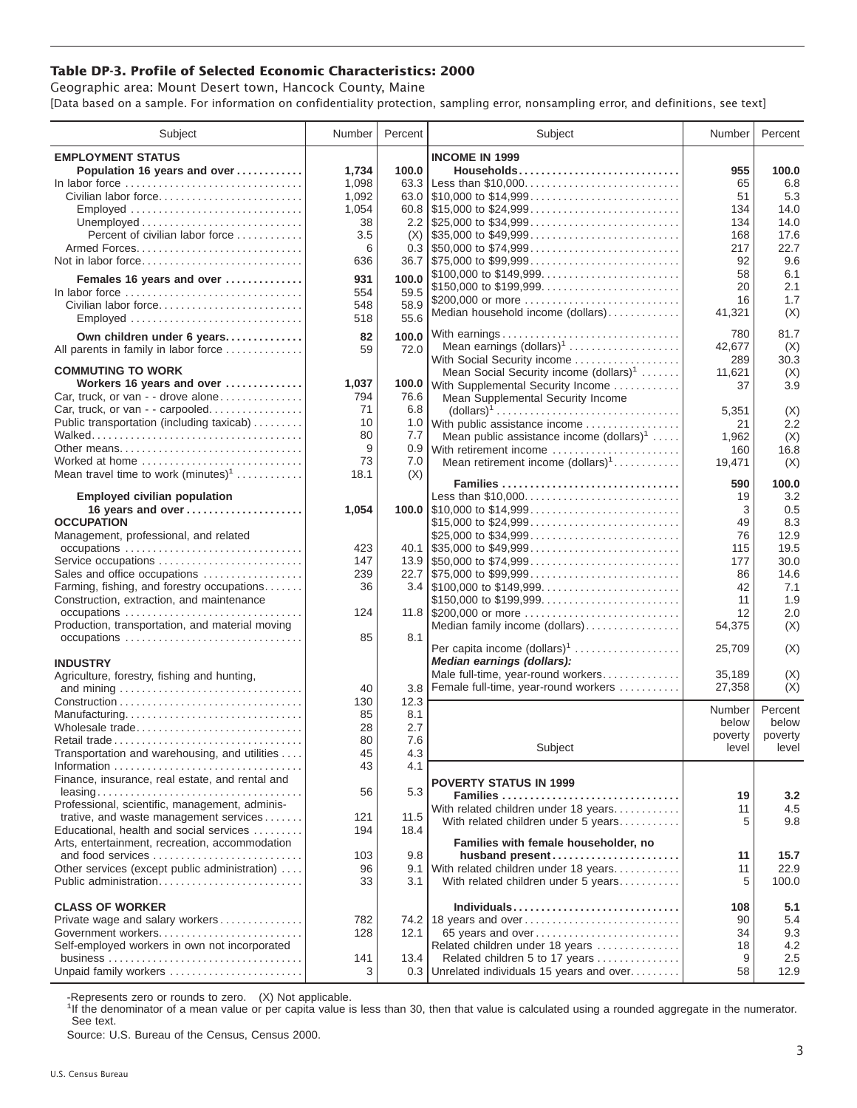## **Table DP-3. Profile of Selected Economic Characteristics: 2000**

Geographic area: Mount Desert town, Hancock County, Maine [Data based on a sample. For information on confidentiality protection, sampling error, nonsampling error, and definitions, see text]

| Subject                                                                | Number   | Percent    | Subject                                                                                | Number        | Percent     |
|------------------------------------------------------------------------|----------|------------|----------------------------------------------------------------------------------------|---------------|-------------|
| <b>EMPLOYMENT STATUS</b>                                               |          |            | <b>INCOME IN 1999</b>                                                                  |               |             |
| Population 16 years and over                                           | 1,734    | 100.0      | Households                                                                             | 955           | 100.0       |
| In labor force                                                         | 1,098    | 63.3       |                                                                                        | 65            | 6.8         |
| Civilian labor force                                                   | 1,092    |            |                                                                                        | 51            | 5.3         |
| $Emploved \dots \dots \dots \dots \dots \dots \dots \dots \dots \dots$ | 1,054    |            | $60.8$   \$15,000 to \$24,999                                                          | 134           | 14.0        |
|                                                                        | 38       |            |                                                                                        | 134           | 14.0        |
| Percent of civilian labor force                                        | 3.5      | (X)        | $\frac{1}{2}$ \$35,000 to \$49,999                                                     | 168           | 17.6        |
| Armed Forces                                                           | 6<br>636 |            | $36.7$ \\ \$75,000 to \$99,999                                                         | 217<br>92     | 22.7<br>9.6 |
|                                                                        |          |            | \$100,000 to \$149,999                                                                 | 58            | 6.1         |
| Females 16 years and over                                              | 931      | 100.0      | \$150,000 to \$199,999                                                                 | 20            | 2.1         |
| In labor force                                                         | 554      | 59.5       | \$200,000 or more                                                                      | 16            | 1.7         |
| Civilian labor force                                                   | 548      | 58.9       | Median household income (dollars)                                                      | 41,321        | (X)         |
| Employed                                                               | 518      | 55.6       |                                                                                        |               |             |
| Own children under 6 years                                             | 82       | 100.0      |                                                                                        | 780           | 81.7        |
| All parents in family in labor force                                   | 59       | 72.0       | Mean earnings (dollars) <sup>1</sup><br>With Social Security income                    | 42,677<br>289 | (X)<br>30.3 |
| <b>COMMUTING TO WORK</b>                                               |          |            | Mean Social Security income $(dollars)^1$                                              | 11,621        | (X)         |
| Workers 16 years and over                                              | 1,037    | 100.0      | With Supplemental Security Income                                                      | 37            | 3.9         |
| Car, truck, or van - - drove alone                                     | 794      | 76.6       | Mean Supplemental Security Income                                                      |               |             |
| Car, truck, or van - - carpooled                                       | 71       | 6.8        | $\text{(dollars)}^1 \dots \dots \dots \dots \dots \dots \dots \dots \dots \dots \dots$ | 5,351         | (X)         |
| Public transportation (including taxicab)                              | 10       |            | 1.0 With public assistance income                                                      | 21            | 2.2         |
|                                                                        | 80       | 7.7        | Mean public assistance income $(dollars)1 \ldots$ .                                    | 1,962         | (X)         |
|                                                                        | 9        | 0.9        | With retirement income                                                                 | 160           | 16.8        |
| Worked at home                                                         | 73       | 7.0        | Mean retirement income $(dollars)1$                                                    | 19,471        | (X)         |
| Mean travel time to work $(minutes)^1$                                 | 18.1     | (X)        | Families                                                                               | 590           | 100.0       |
| <b>Employed civilian population</b>                                    |          |            | Less than \$10,000                                                                     | 19            | 3.2         |
| 16 years and over                                                      | 1,054    |            |                                                                                        | 3             | 0.5         |
| <b>OCCUPATION</b>                                                      |          |            | \$15,000 to \$24,999                                                                   | 49            | 8.3         |
| Management, professional, and related                                  |          |            | \$25,000 to \$34,999                                                                   | 76            | 12.9        |
|                                                                        | 423      |            |                                                                                        | 115           | 19.5        |
| Service occupations                                                    | 147      |            |                                                                                        | 177           | 30.0        |
| Sales and office occupations                                           | 239      |            |                                                                                        | 86            | 14.6        |
| Farming, fishing, and forestry occupations                             | 36       |            |                                                                                        | 42            | 7.1<br>1.9  |
| Construction, extraction, and maintenance<br>occupations               | 124      |            | \$150,000 to \$199,999                                                                 | 11<br>12      | 2.0         |
| Production, transportation, and material moving                        |          |            | Median family income (dollars)                                                         | 54,375        | (X)         |
|                                                                        | 85       | 8.1        |                                                                                        |               |             |
|                                                                        |          |            | Per capita income (dollars) <sup>1</sup>                                               | 25,709        | (X)         |
| <b>INDUSTRY</b>                                                        |          |            | Median earnings (dollars):                                                             |               |             |
| Agriculture, forestry, fishing and hunting,                            |          |            | Male full-time, year-round workers                                                     | 35,189        | (X)         |
|                                                                        | 40       | 3.8        | Female full-time, year-round workers                                                   | 27,358        | (X)         |
|                                                                        | 130      | 12.3       |                                                                                        | Number        | Percent     |
| Manufacturing<br>Wholesale trade                                       | 85<br>28 | 8.1<br>2.7 |                                                                                        | below         | below       |
| Retail trade                                                           | 80       | 7.6        |                                                                                        | poverty       | poverty     |
| Transportation and warehousing, and utilities                          | 45       | 4.3        | Subject                                                                                | level         | level       |
|                                                                        | 43       | 4.1        |                                                                                        |               |             |
| Finance, insurance, real estate, and rental and                        |          |            | <b>POVERTY STATUS IN 1999</b>                                                          |               |             |
|                                                                        | 56       | 5.3        | Families                                                                               | 19            | 3.2         |
| Professional, scientific, management, adminis-                         |          |            | With related children under 18 years                                                   | 11            | 4.5         |
| trative, and waste management services                                 | 121      | 11.5       | With related children under 5 years                                                    | 5             | 9.8         |
| Educational, health and social services                                | 194      | 18.4       |                                                                                        |               |             |
| Arts, entertainment, recreation, accommodation<br>and food services    | 103      | 9.8        | Families with female householder, no<br>husband present                                | 11            | 15.7        |
| Other services (except public administration)                          | 96       | 9.1        | With related children under 18 years                                                   | 11            | 22.9        |
| Public administration                                                  | 33       | 3.1        | With related children under 5 years                                                    | 5             | 100.0       |
|                                                                        |          |            |                                                                                        |               |             |
| <b>CLASS OF WORKER</b>                                                 |          |            | Individuals                                                                            | 108           | 5.1         |
| Private wage and salary workers                                        | 782      |            | 74.2 18 years and over                                                                 | 90            | 5.4         |
| Government workers                                                     | 128      | 12.1       | 65 years and over                                                                      | 34            | 9.3         |
| Self-employed workers in own not incorporated                          |          |            | Related children under 18 years                                                        | 18            | 4.2         |
| Unpaid family workers                                                  | 141<br>3 | 13.4       | Related children 5 to 17 years<br>0.3 Unrelated individuals 15 years and over          | 9<br>58       | 2.5<br>12.9 |
|                                                                        |          |            |                                                                                        |               |             |

-Represents zero or rounds to zero. (X) Not applicable.

<sup>1</sup>If the denominator of a mean value or per capita value is less than 30, then that value is calculated using a rounded aggregate in the numerator. See text.

Source: U.S. Bureau of the Census, Census 2000.